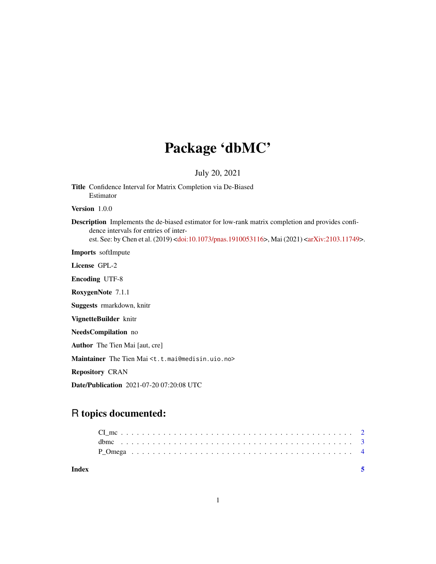## Package 'dbMC'

#### July 20, 2021

Title Confidence Interval for Matrix Completion via De-Biased Estimator Version 1.0.0 Description Implements the de-biased estimator for low-rank matrix completion and provides confidence intervals for entries of inter-est. See: by Chen et al. (2019) [<doi:10.1073/pnas.1910053116>](https://doi.org/10.1073/pnas.1910053116), Mai (2021) [<arXiv:2103.11749>](https://arxiv.org/abs/2103.11749). Imports softImpute License GPL-2 Encoding UTF-8 RoxygenNote 7.1.1 Suggests rmarkdown, knitr

VignetteBuilder knitr

NeedsCompilation no

Author The Tien Mai [aut, cre]

Maintainer The Tien Mai <t.t.mai@medisin.uio.no>

Repository CRAN

Date/Publication 2021-07-20 07:20:08 UTC

### R topics documented:

| Index |  |  |  |  |  |  |  |  |  |  |  |  |  |  |  |  |  |  | -5 |  |
|-------|--|--|--|--|--|--|--|--|--|--|--|--|--|--|--|--|--|--|----|--|
|       |  |  |  |  |  |  |  |  |  |  |  |  |  |  |  |  |  |  |    |  |
|       |  |  |  |  |  |  |  |  |  |  |  |  |  |  |  |  |  |  |    |  |
|       |  |  |  |  |  |  |  |  |  |  |  |  |  |  |  |  |  |  |    |  |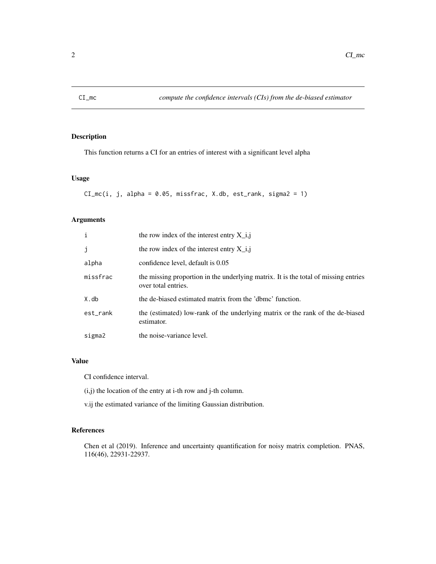<span id="page-1-0"></span>

#### Description

This function returns a CI for an entries of interest with a significant level alpha

#### Usage

```
CI_mc(i, j, alpha = 0.05, missfrac, X.db, est_rank, sigma2 = 1)
```
#### Arguments

| i        | the row index of the interest entry $X_i$ , i, i                                                           |
|----------|------------------------------------------------------------------------------------------------------------|
| j        | the row index of the interest entry $X_i$ ,                                                                |
| alpha    | confidence level, default is 0.05                                                                          |
| missfrac | the missing proportion in the underlying matrix. It is the total of missing entries<br>over total entries. |
| X.db     | the de-biased estimated matrix from the 'dbmc' function.                                                   |
| est_rank | the (estimated) low-rank of the underlying matrix or the rank of the de-biased<br>estimator.               |
| sigma2   | the noise-variance level.                                                                                  |

#### Value

CI confidence interval.

- (i,j) the location of the entry at i-th row and j-th column.
- v.ij the estimated variance of the limiting Gaussian distribution.

#### References

Chen et al (2019). Inference and uncertainty quantification for noisy matrix completion. PNAS, 116(46), 22931-22937.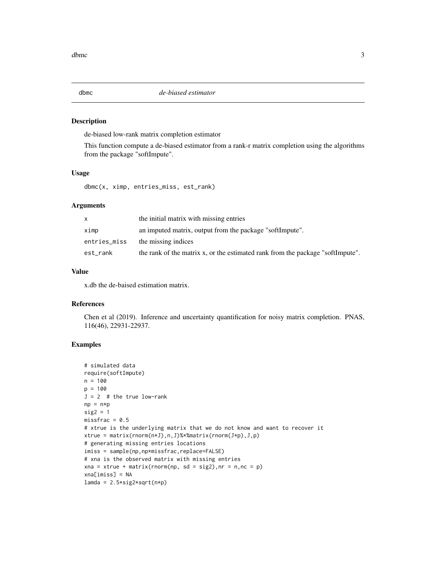<span id="page-2-0"></span>

#### Description

de-biased low-rank matrix completion estimator

This function compute a de-biased estimator from a rank-r matrix completion using the algorithms from the package "softImpute".

#### Usage

dbmc(x, ximp, entries\_miss, est\_rank)

#### Arguments

| X.           | the initial matrix with missing entries                                        |
|--------------|--------------------------------------------------------------------------------|
| ximp         | an imputed matrix, output from the package "softImpute".                       |
| entries_miss | the missing indices                                                            |
| est_rank     | the rank of the matrix x, or the estimated rank from the package "softImpute". |

#### Value

x.db the de-baised estimation matrix.

#### References

Chen et al (2019). Inference and uncertainty quantification for noisy matrix completion. PNAS, 116(46), 22931-22937.

#### Examples

```
# simulated data
require(softImpute)
n = 100
p = 100J = 2 # the true low-rank
np = n * psig2 = 1missfrac = 0.5# xtrue is the underlying matrix that we do not know and want to recover it
xtrue = matrix(rnorm(n*J),n,J)%*%matrix(rnorm(J*p),J,p)
# generating missing entries locations
imiss = sample(np,np*missfrac,replace=FALSE)
# xna is the observed matrix with missing entries
xna = xtrue + matrix(rnorm(np, sd = sig2), nr = n, nc = p)
xna[imiss] = NA
lamda = 2.5*sig2*sqrt(n*p)
```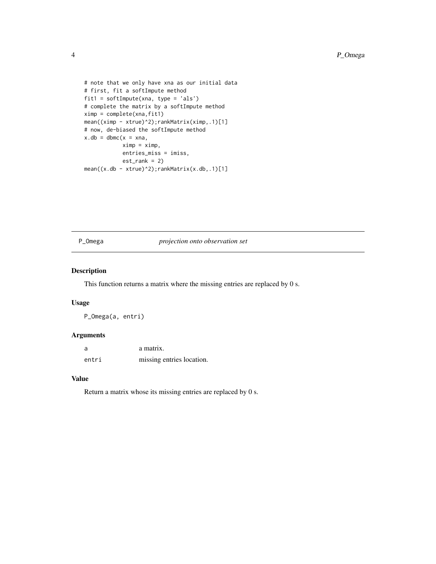```
# note that we only have xna as our initial data
# first, fit a softImpute method
fit1 = softImpute(xna, type = 'als')
# complete the matrix by a softImpute method
ximp = complete(xna, fit1)mean((ximp - xtrue)^2);rankMatrix(ximp,.1)[1]
# now, de-biased the softImpute method
x.db = dbmc(x = xna,ximp = ximp,entries_miss = imiss,
            est\_rank = 2)mean((x.db - xtrue)^2);rankMatrix(x.db,.1)[1]
```
#### P\_Omega *projection onto observation set*

#### Description

This function returns a matrix where the missing entries are replaced by 0 s.

#### Usage

P\_Omega(a, entri)

#### Arguments

| a     | a matrix.                 |
|-------|---------------------------|
| entri | missing entries location. |

#### Value

Return a matrix whose its missing entries are replaced by 0 s.